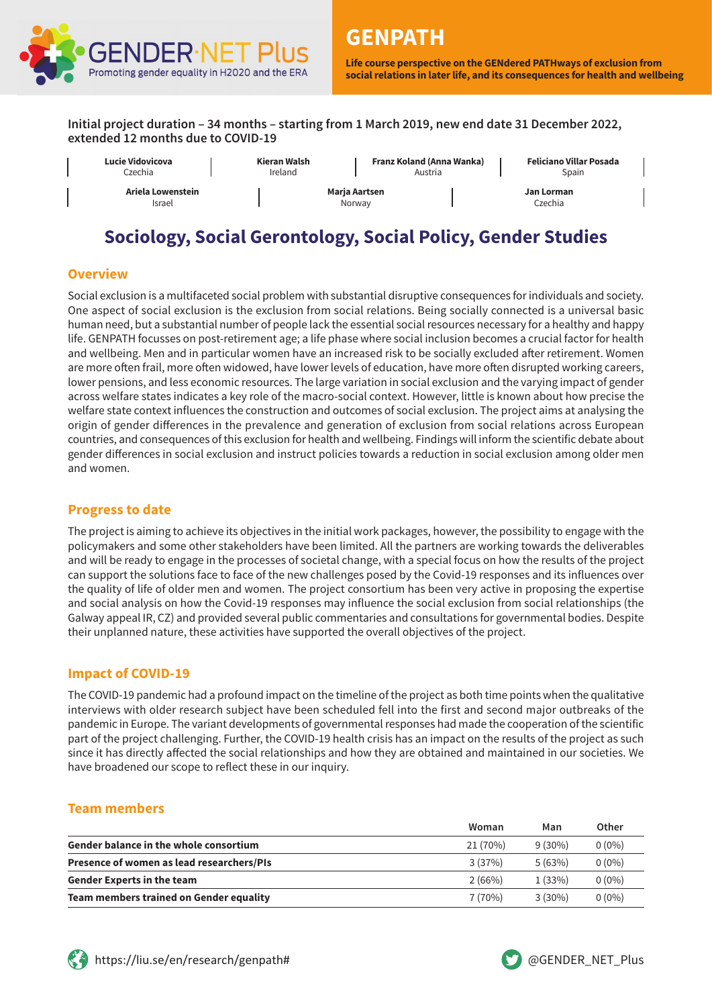

**Life course perspective on the GENdered PATHways of exclusion from social relations in later life, and its consequences for health and wellbeing**

**Initial project duration – 34 months – starting from 1 March 2019, new end date 31 December 2022, extended 12 months due to COVID-19**



# **Sociology, Social Gerontology, Social Policy, Gender Studies**

## **Overview**

Social exclusion is a multifaceted social problem with substantial disruptive consequences for individuals and society. One aspect of social exclusion is the exclusion from social relations. Being socially connected is a universal basic human need, but a substantial number of people lack the essential social resources necessary for a healthy and happy life. GENPATH focusses on post-retirement age; a life phase where social inclusion becomes a crucial factor for health and wellbeing. Men and in particular women have an increased risk to be socially excluded after retirement. Women are more often frail, more often widowed, have lower levels of education, have more often disrupted working careers, lower pensions, and less economic resources. The large variation in social exclusion and the varying impact of gender across welfare states indicates a key role of the macro-social context. However, little is known about how precise the welfare state context influences the construction and outcomes of social exclusion. The project aims at analysing the origin of gender differences in the prevalence and generation of exclusion from social relations across European countries, and consequences of this exclusion for health and wellbeing. Findings will inform the scientific debate about gender differences in social exclusion and instruct policies towards a reduction in social exclusion among older men and women.

### **Progress to date**

The project is aiming to achieve its objectives in the initial work packages, however, the possibility to engage with the policymakers and some other stakeholders have been limited. All the partners are working towards the deliverables and will be ready to engage in the processes of societal change, with a special focus on how the results of the project can support the solutions face to face of the new challenges posed by the Covid-19 responses and its influences over the quality of life of older men and women. The project consortium has been very active in proposing the expertise and social analysis on how the Covid-19 responses may influence the social exclusion from social relationships (the Galway appeal IR, CZ) and provided several public commentaries and consultations for governmental bodies. Despite their unplanned nature, these activities have supported the overall objectives of the project.

### **Impact of COVID-19**

The COVID-19 pandemic had a profound impact on the timeline of the project as both time points when the qualitative interviews with older research subject have been scheduled fell into the first and second major outbreaks of the pandemic in Europe. The variant developments of governmental responses had made the cooperation of the scientific part of the project challenging. Further, the COVID-19 health crisis has an impact on the results of the project as such since it has directly affected the social relationships and how they are obtained and maintained in our societies. We have broadened our scope to reflect these in our inquiry.

### **Team members**

|                                               | Woman    | Man       | Other    |
|-----------------------------------------------|----------|-----------|----------|
| <b>Gender balance in the whole consortium</b> | 21 (70%) | $9(30\%)$ | $0(0\%)$ |
| Presence of women as lead researchers/PIs     | 3(37%)   | 5(63%)    | $0(0\%)$ |
| <b>Gender Experts in the team</b>             | 2(66%)   | 1(33%)    | $0(0\%)$ |
| Team members trained on Gender equality       | 7(70%)   | $3(30\%)$ | $0(0\%)$ |